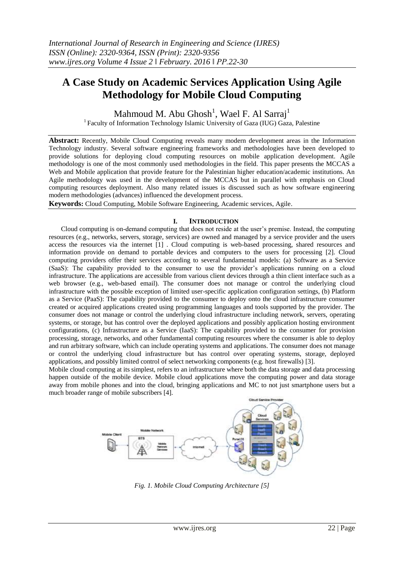# **A Case Study on Academic Services Application Using Agile Methodology for Mobile Cloud Computing**

Mahmoud M. Abu Ghosh $^1$ , Wael F. Al Sarraj $^1$ <sup>1</sup> Faculty of Information Technology Islamic University of Gaza (IUG) Gaza, Palestine

**Abstract:** Recently, Mobile Cloud Computing reveals many modern development areas in the Information Technology industry. Several software engineering frameworks and methodologies have been developed to provide solutions for deploying cloud computing resources on mobile application development. Agile methodology is one of the most commonly used methodologies in the field. This paper presents the MCCAS a Web and Mobile application that provide feature for the Palestinian higher education/academic institutions. An Agile methodology was used in the development of the MCCAS but in parallel with emphasis on Cloud computing resources deployment. Also many related issues is discussed such as how software engineering modern methodologies (advances) influenced the development process.

**Keywords:** Cloud Computing, Mobile Software Engineering, Academic services, Agile.

## **I. INTRODUCTION**

Cloud computing is on-demand computing that does not reside at the user's premise. Instead, the computing resources (e.g., networks, servers, storage, services) are owned and managed by a service provider and the users access the resources via the internet [1] . Cloud computing is web-based processing, shared resources and information provide on demand to portable devices and computers to the users for processing [2]. Cloud computing providers offer their services according to several fundamental models: (a) Software as a Service (SaaS): The capability provided to the consumer to use the provider's applications running on a cloud infrastructure. The applications are accessible from various client devices through a thin client interface such as a web browser (e.g., web-based email). The consumer does not manage or control the underlying cloud infrastructure with the possible exception of limited user-specific application configuration settings, (b) Platform as a Service (PaaS): The capability provided to the consumer to deploy onto the cloud infrastructure consumer created or acquired applications created using programming languages and tools supported by the provider. The consumer does not manage or control the underlying cloud infrastructure including network, servers, operating systems, or storage, but has control over the deployed applications and possibly application hosting environment configurations, (c) Infrastructure as a Service (IaaS): The capability provided to the consumer for provision processing, storage, networks, and other fundamental computing resources where the consumer is able to deploy and run arbitrary software, which can include operating systems and applications. The consumer does not manage or control the underlying cloud infrastructure but has control over operating systems, storage, deployed applications, and possibly limited control of select networking components (e.g. host firewalls) [3].

Mobile cloud computing at its simplest, refers to an infrastructure where both the data storage and data processing happen outside of the mobile device. Mobile cloud applications move the computing power and data storage away from mobile phones and into the cloud, bringing applications and MC to not just smartphone users but a much broader range of mobile subscribers [4].



*Fig. 1. Mobile Cloud Computing Architecture [5]*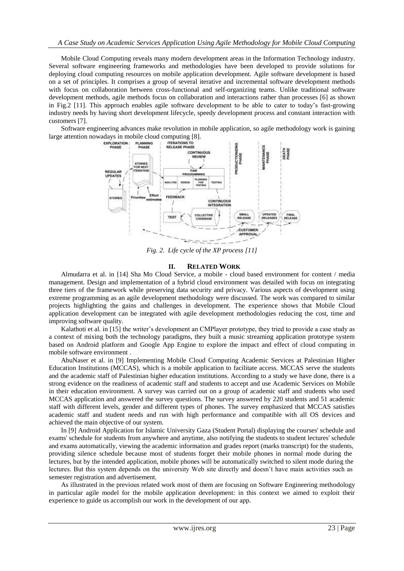Mobile Cloud Computing reveals many modern development areas in the Information Technology industry. Several software engineering frameworks and methodologies have been developed to provide solutions for deploying cloud computing resources on mobile application development. Agile software development is based on a set of principles. It comprises a group of several iterative and incremental software development methods with focus on collaboration between cross-functional and self-organizing teams. Unlike traditional software development methods, agile methods focus on collaboration and interactions rather than processes [6] as shown in Fig.2 [11]. This approach enables agile software development to be able to cater to today's fast-growing industry needs by having short development lifecycle, speedy development process and constant interaction with customers [7].

Software engineering advances make revolution in mobile application, so agile methodology work is gaining large attention nowadays in mobile cloud computing [8].<br>
EXPLORATION PLANNING TERATIONS TO PUASE



*Fig. 2. Life cycle of the XP process [11]*

## **II. RELATED WORK**

Almudarra et al. in [14] Sha Mo Cloud Service, a mobile - cloud based environment for content / media management. Design and implementation of a hybrid cloud environment was detailed with focus on integrating three tiers of the framework while preserving data security and privacy. Various aspects of development using extreme programming as an agile development methodology were discussed. The work was compared to similar projects highlighting the gains and challenges in development. The experience shows that Mobile Cloud application development can be integrated with agile development methodologies reducing the cost, time and improving software quality.

Kalathoti et al. in [15] the writer's development an CMPlayer prototype, they tried to provide a case study as a context of mixing both the technology paradigms, they built a music streaming application prototype system based on Android platform and Google App Engine to explore the impact and effect of cloud computing in mobile software environment .

AbuNaser et al. in [9] Implementing Mobile Cloud Computing Academic Services at Palestinian Higher Education Institutions (MCCAS), which is a mobile application to facilitate access. MCCAS serve the students and the academic staff of Palestinian higher education institutions. According to a study we have done, there is a strong evidence on the readiness of academic staff and students to accept and use Academic Services on Mobile in their education environment. A survey was carried out on a group of academic staff and students who used MCCAS application and answered the survey questions. The survey answered by 220 students and 51 academic staff with different levels, gender and different types of phones. The survey emphasized that MCCAS satisfies academic staff and student needs and run with high performance and compatible with all OS devices and achieved the main objective of our system.

In [9] Android Application for Islamic University Gaza (Student Portal) displaying the courses' schedule and exams' schedule for students from anywhere and anytime, also notifying the students to student lectures' schedule and exams automatically, viewing the academic information and grades report (marks transcript) for the students, providing silence schedule because most of students forget their mobile phones in normal mode during the lectures, but by the intended application, mobile phones will be automatically switched to silent mode during the lectures. But this system depends on the university Web site directly and doesn't have main activities such as semester registration and advertisement.

As illustrated in the previous related work most of them are focusing on Software Engineering methodology in particular agile model for the mobile application development: in this context we aimed to exploit their experience to guide us accomplish our work in the development of our app.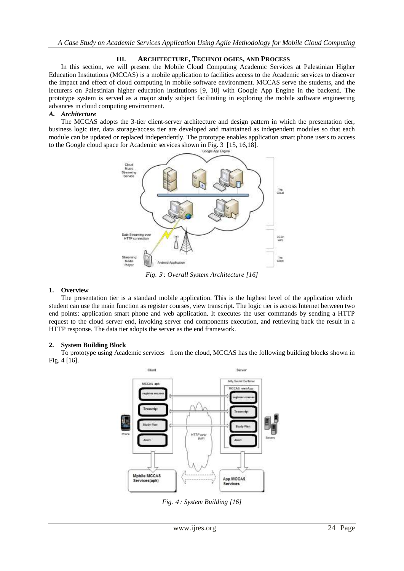# **III. ARCHITECTURE, TECHNOLOGIES, AND PROCESS**

In this section, we will present the Mobile Cloud Computing Academic Services at Palestinian Higher Education Institutions (MCCAS) is a mobile application to facilities access to the Academic services to discover the impact and effect of cloud computing in mobile software environment. MCCAS serve the students, and the lecturers on Palestinian higher education institutions [9, 10] with Google App Engine in the backend. The prototype system is served as a major study subject facilitating in exploring the mobile software engineering advances in cloud computing environment.

## *A. Architecture*

The MCCAS adopts the 3-tier client-server architecture and design pattern in which the presentation tier, business logic tier, data storage/access tier are developed and maintained as independent modules so that each module can be updated or replaced independently. The prototype enables application smart phone users to access to the Google cloud space for Academic services shown in Fig. 3 [15, 16,18].



*Fig*. <sup>3</sup> *: Overall System Architecture [16]*

# **1. Overview**

The presentation tier is a standard mobile application. This is the highest level of the application which student can use the main function as register courses, view transcript. The logic tier is across Internet between two end points: application smart phone and web application. It executes the user commands by sending a HTTP request to the cloud server end, invoking server end components execution, and retrieving back the result in a HTTP response. The data tier adopts the server as the end framework.

# **2. System Building Block**

To prototype using Academic services from the cloud, MCCAS has the following building blocks shown in Fig. 4 [16].



*Fig.* <sup>4</sup> *: System Building [16]*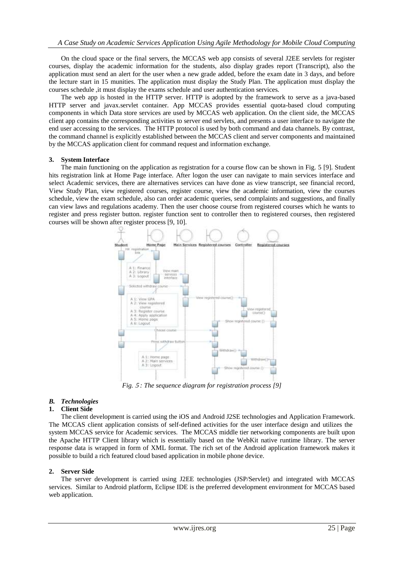On the cloud space or the final servers, the MCCAS web app consists of several J2EE servlets for register courses, display the academic information for the students, also display grades report (Transcript), also the application must send an alert for the user when a new grade added, before the exam date in 3 days, and before the lecture start in 15 munities. The application must display the Study Plan. The application must display the courses schedule ,it must display the exams schedule and user authentication services.

The web app is hosted in the HTTP server. HTTP is adopted by the framework to serve as a java-based HTTP server and javax.servlet container. App MCCAS provides essential quota-based cloud computing components in which Data store services are used by MCCAS web application. On the client side, the MCCAS client app contains the corresponding activities to server end servlets, and presents a user interface to navigate the end user accessing to the services. The HTTP protocol is used by both command and data channels. By contrast, the command channel is explicitly established between the MCCAS client and server components and maintained by the MCCAS application client for command request and information exchange.

### **3. System Interface**

The main functioning on the application as registration for a course flow can be shown in Fig. 5 [9]. Student hits registration link at Home Page interface. After logon the user can navigate to main services interface and select Academic services, there are alternatives services can have done as view transcript, see financial record, View Study Plan, view registered courses, register course, view the academic information, view the courses schedule, view the exam schedule, also can order academic queries, send complaints and suggestions, and finally can view laws and regulations academy. Then the user choose course from registered courses which he wants to register and press register button. register function sent to controller then to registered courses, then registered courses will be shown after register process [9, 10].



*Fig.* <sup>5</sup> *: The sequence diagram for registration process [9]*

### *B. Technologies*

### **1. Client Side**

The client development is carried using the iOS and Android J2SE technologies and Application Framework. The MCCAS client application consists of self-defined activities for the user interface design and utilizes the system MCCAS service for Academic services. The MCCAS middle tier networking components are built upon the Apache HTTP Client library which is essentially based on the WebKit native runtime library. The server response data is wrapped in form of XML format. The rich set of the Android application framework makes it possible to build a rich featured cloud based application in mobile phone device.

### **2. Server Side**

The server development is carried using J2EE technologies (JSP/Servlet) and integrated with MCCAS services. Similar to Android platform, Eclipse IDE is the preferred development environment for MCCAS based web application.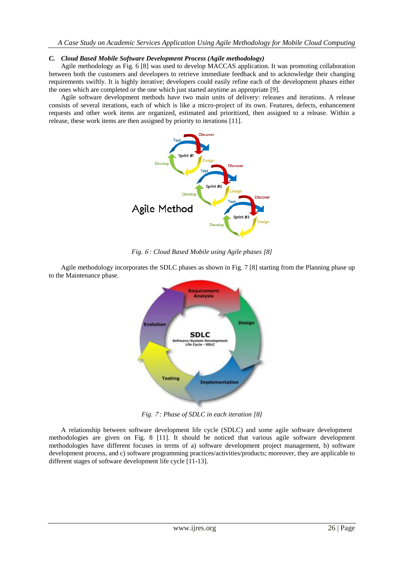## *C. Cloud Based Mobile Software Development Process (Agile methodology)*

Agile methodology as Fig. 6 [8] was used to develop MACCAS application. It was promoting collaboration between both the customers and developers to retrieve immediate feedback and to acknowledge their changing requirements swiftly. It is highly iterative; developers could easily refine each of the development phases either the ones which are completed or the one which just started anytime as appropriate [9].

Agile software development methods have two main units of delivery: releases and iterations. A release consists of several iterations, each of which is like a micro-project of its own. Features, defects, enhancement requests and other work items are organized, estimated and prioritized, then assigned to a release. Within a release, these work items are then assigned by priority to iterations [11].



*Fig.* <sup>6</sup> *: Cloud Based Mobile using Agile phases [8]*

Agile methodology incorporates the SDLC phases as shown in Fig. 7 [8] starting from the Planning phase up to the Maintenance phase.



*Fig.* <sup>7</sup> *: Phase of SDLC in each iteration [8]*

A relationship between software development life cycle (SDLC) and some agile software development methodologies are given on Fig. 8 [11]. It should be noticed that various agile software development methodologies have different focuses in terms of a) software development project management, b) software development process, and c) software programming practices/activities/products; moreover, they are applicable to different stages of software development life cycle [11-13].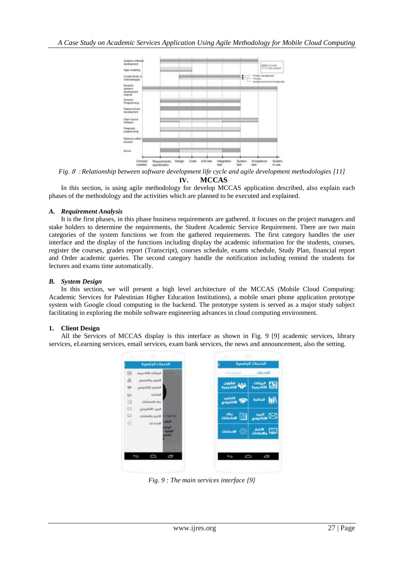

*Fig*. <sup>8</sup> : *Relationship between software development life cycle and agile development methodologies [11]* **IV. MCCAS**

In this section, is using agile methodology for develop MCCAS application described, also explain each phases of the methodology and the activities which are planned to be executed and explained.

## *A. Requirement Analysis*

It is the first phases, in this phase business requirements are gathered. it focuses on the project managers and stake holders to determine the requirements, the Student Academic Service Requirement. There are two main categories of the system functions we from the gathered requirements. The first category handles the user interface and the display of the functions including display the academic information for the students, courses, register the courses, grades report (Transcript), courses schedule, exams schedule, Study Plan, financial report and Order academic queries. The second category handle the notification including remind the students for lectures and exams time automatically.

## *B. System Design*

In this section, we will present a high level architecture of the MCCAS (Mobile Cloud Computing: Academic Services for Palestinian Higher Education Institutions), a mobile smart phone application prototype system with Google cloud computing in the backend. The prototype system is served as a major study subject facilitating in exploring the mobile software engineering advances in cloud computing environment.

# **1. Client Design**

All the Services of MCCAS display is this interface as shown in Fig. 9 [9] academic services, library services, eLearning services, email services, exam bank services, the news and announcement, also the setting.



*Fig. 9 : The main services interface [9]*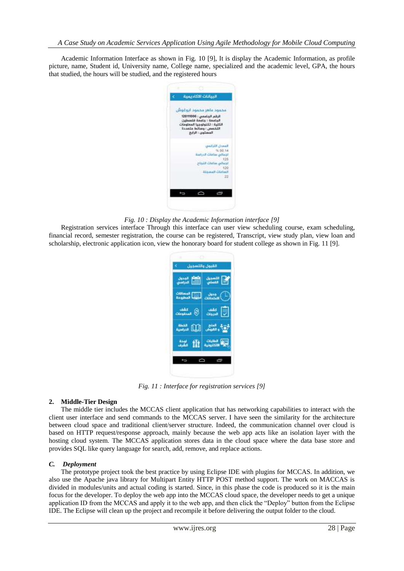Academic Information Interface as shown in Fig. 10 [9], It is display the Academic Information, as profile picture, name, Student id, University name, College name, specialized and the academic level, GPA, the hours that studied, the hours will be studied, and the registered hours



*Fig. 10 : Display the Academic Information interface [9]*

Registration services interface Through this interface can user view scheduling course, exam scheduling, financial record, semester registration, the course can be registered, Transcript, view study plan, view loan and scholarship, electronic application icon, view the honorary board for student college as shown in Fig. 11 [9].



*Fig. 11 : Interface for registration services [9]*

### **2. Middle-Tier Design**

The middle tier includes the MCCAS client application that has networking capabilities to interact with the client user interface and send commands to the MCCAS server. I have seen the similarity for the architecture between cloud space and traditional client/server structure. Indeed, the communication channel over cloud is based on HTTP request/response approach, mainly because the web app acts like an isolation layer with the hosting cloud system. The MCCAS application stores data in the cloud space where the data base store and provides SQL like query language for search, add, remove, and replace actions.

### *C. Deployment*

The prototype project took the best practice by using Eclipse IDE with plugins for MCCAS. In addition, we also use the Apache java library for Multipart Entity HTTP POST method support. The work on MACCAS is divided in modules/units and actual coding is started. Since, in this phase the code is produced so it is the main focus for the developer. To deploy the web app into the MCCAS cloud space, the developer needs to get a unique application ID from the MCCAS and apply it to the web app, and then click the "Deploy" button from the Eclipse IDE. The Eclipse will clean up the project and recompile it before delivering the output folder to the cloud.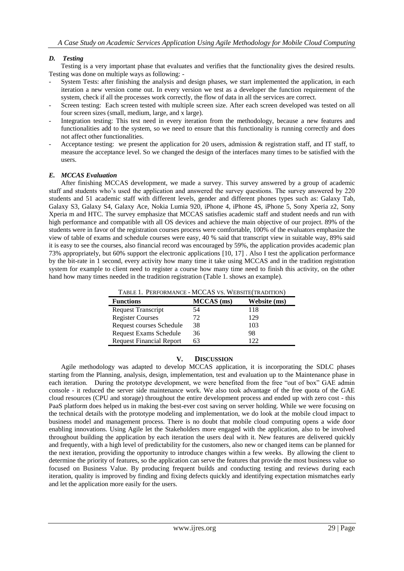# *D. Testing*

Testing is a very important phase that evaluates and verifies that the functionality gives the desired results. Testing was done on multiple ways as following: -

- System Tests: after finishing the analysis and design phases, we start implemented the application, in each iteration a new version come out. In every version we test as a developer the function requirement of the system, check if all the processes work correctly, the flow of data in all the services are correct.
- Screen testing: Each screen tested with multiple screen size. After each screen developed was tested on all four screen sizes (small, medium, large, and x large).
- Integration testing: This test need in every iteration from the methodology, because a new features and functionalities add to the system, so we need to ensure that this functionality is running correctly and does not affect other functionalities.
- Acceptance testing: we present the application for 20 users, admission & registration staff, and IT staff, to measure the acceptance level. So we changed the design of the interfaces many times to be satisfied with the users.

## *E. MCCAS Evaluation*

After finishing MCCAS development, we made a survey. This survey answered by a group of academic staff and students who's used the application and answered the survey questions. The survey answered by 220 students and 51 academic staff with different levels, gender and different phones types such as: Galaxy Tab, Galaxy S3, Galaxy S4, Galaxy Ace, Nokia Lumia 920, iPhone 4, iPhone 4S, iPhone 5, Sony Xperia z2, Sony Xperia m and HTC. The survey emphasize that MCCAS satisfies academic staff and student needs and run with high performance and compatible with all OS devices and achieve the main objective of our project. 89% of the students were in favor of the registration courses process were comfortable, 100% of the evaluators emphasize the view of table of exams and schedule courses were easy, 40 % said that transcript view in suitable way, 89% said it is easy to see the courses, also financial record was encouraged by 59%, the application provides academic plan 73% appropriately, but 60% support the electronic applications [10, 17] . Also I test the application performance by the bit-rate in 1 second, every activity how many time it take using MCCAS and in the tradition registration system for example to client need to register a course how many time need to finish this activity, on the other hand how many times needed in the tradition registration (Table 1. shows an example).

| TABLE 1. PERFORMANCE - MCCAS VS. WEBSITE(TRADITION) |            |              |
|-----------------------------------------------------|------------|--------------|
| <b>Functions</b>                                    | MCCAS (ms) | Website (ms) |
| <b>Request Transcript</b>                           | 54         | 118          |
| <b>Register Courses</b>                             | 72         | 129          |
| Request courses Schedule                            | 38         | 103          |
| Request Exams Schedule                              | 36         | 98           |
| <b>Request Financial Report</b>                     | 63         | 122          |

# **V. DISCUSSION**

Agile methodology was adapted to develop MCCAS application, it is incorporating the SDLC phases starting from the Planning, analysis, design, implementation, test and evaluation up to the Maintenance phase in each iteration. During the prototype development, we were benefited from the free "out of box" GAE admin console - it reduced the server side maintenance work. We also took advantage of the free quota of the GAE cloud resources (CPU and storage) throughout the entire development process and ended up with zero cost - this PaaS platform does helped us in making the best-ever cost saving on server holding. While we were focusing on the technical details with the prototype modeling and implementation, we do look at the mobile cloud impact to business model and management process. There is no doubt that mobile cloud computing opens a wide door enabling innovations. Using Agile let the Stakeholders more engaged with the application, also to be involved throughout building the application by each iteration the users deal with it. New features are delivered quickly and frequently, with a high level of predictability for the customers, also new or changed items can be planned for the next iteration, providing the opportunity to introduce changes within a few weeks. By allowing the client to determine the priority of features, so the application can serve the features that provide the most business value so focused on Business Value. By producing frequent builds and conducting testing and reviews during each iteration, quality is improved by finding and fixing defects quickly and identifying expectation mismatches early and let the application more easily for the users.